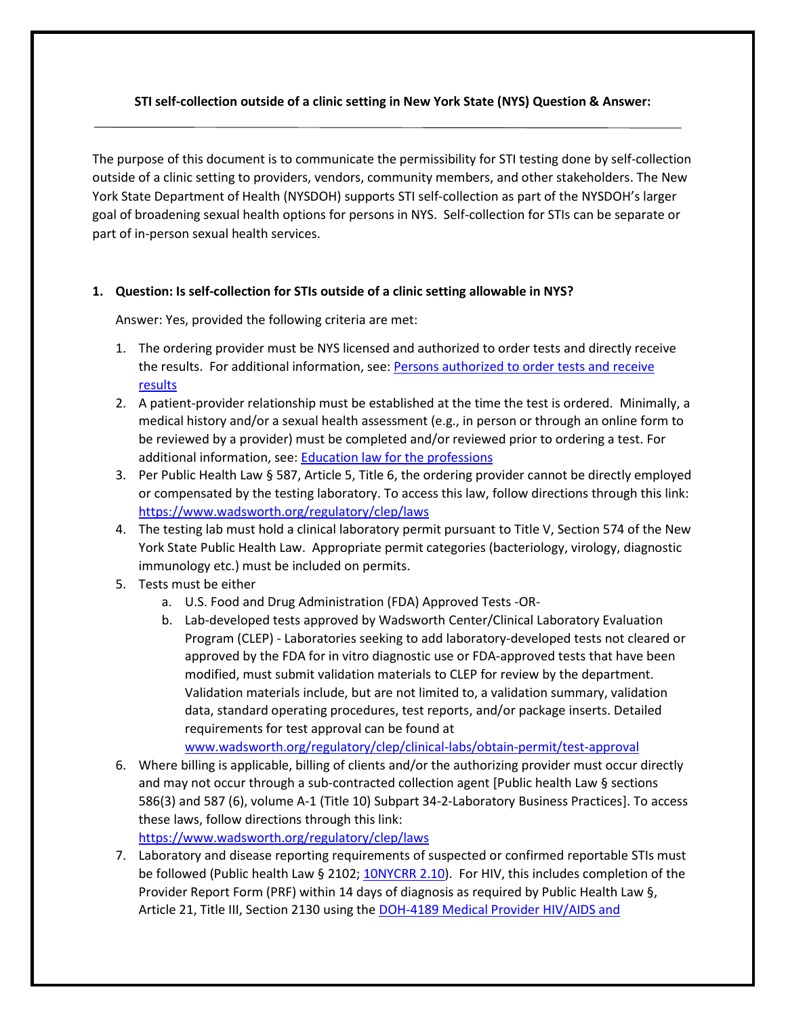# **STI self-collection outside of a clinic setting in New York State (NYS) Question & Answer:**

The purpose of this document is to communicate the permissibility for STI testing done by self-collection outside of a clinic setting to providers, vendors, community members, and other stakeholders. The New York State Department of Health (NYSDOH) supports STI self-collection as part of the NYSDOH's larger goal of broadening sexual health options for persons in NYS. Self-collection for STIs can be separate or part of in-person sexual health services.

# **1. Question: Is self-collection for STIs outside of a clinic setting allowable in NYS?**

Answer: Yes, provided the following criteria are met:

- 1. The ordering provider must be NYS licensed and authorized to order tests and directly receive the results. For additional information, see: Persons authorized to order tests and receive [results](https://www.wadsworth.org/sites/default/files/WebDoc/1915862993/personsauthorizedtoordertests.pdf)
- 2. A patient-provider relationship must be established at the time the test is ordered. Minimally, a medical history and/or a sexual health assessment (e.g., in person or through an online form to be reviewed by a provider) must be completed and/or reviewed prior to ordering a test. For additional information, see[: Education law for the professions](http://www.op.nysed.gov/title8/subart3.htm)
- 3. Per Public Health Law § 587, Article 5, Title 6, the ordering provider cannot be directly employed or compensated by the testing laboratory. To access this law, follow directions through this link: <https://www.wadsworth.org/regulatory/clep/laws>
- 4. The testing lab must hold a clinical laboratory permit pursuant to Title V, Section 574 of the New York State Public Health Law. Appropriate permit categories (bacteriology, virology, diagnostic immunology etc.) must be included on permits.
- 5. Tests must be either
	- a. U.S. Food and Drug Administration (FDA) Approved Tests -OR-
	- b. Lab-developed tests approved by Wadsworth Center/Clinical Laboratory Evaluation Program (CLEP) - Laboratories seeking to add laboratory-developed tests not cleared or approved by the FDA for in vitro diagnostic use or FDA-approved tests that have been modified, must submit validation materials to CLEP for review by the department. Validation materials include, but are not limited to, a validation summary, validation data, standard operating procedures, test reports, and/or package inserts. Detailed requirements for test approval can be found at

[www.wadsworth.org/regulatory/clep/clinical-labs/obtain-permit/test-approval](http://www.wadsworth.org/regulatory/clep/clinical-labs/obtain-permit/test-approval)

6. Where billing is applicable, billing of clients and/or the authorizing provider must occur directly and may not occur through a sub-contracted collection agent [Public health Law § sections 586(3) and 587 (6), volume A-1 (Title 10) Subpart 34-2-Laboratory Business Practices]. To access these laws, follow directions through this link:

<https://www.wadsworth.org/regulatory/clep/laws>

7. Laboratory and disease reporting requirements of suspected or confirmed reportable STIs must be followed (Public health Law § 2102; [10NYCRR 2.10\)](https://regs.health.ny.gov/content/section-210-reporting-cases-or-suspected-cases-or-outbreaks-communicable-disease-physicians). For HIV, this includes completion of the Provider Report Form (PRF) within 14 days of diagnosis as required by Public Health Law §, Article 21, Title III, Section 2130 using the DOH-4189 Medical Provider HIV/AIDS and